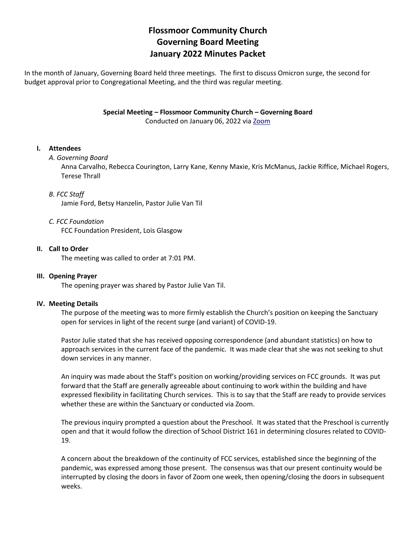# **Flossmoor Community Church Governing Board Meeting January 2022 Minutes Packet**

In the month of January, Governing Board held three meetings. The first to discuss Omicron surge, the second for budget approval prior to Congregational Meeting, and the third was regular meeting.

**Special Meeting – Flossmoor Community Church – Governing Board**

Conducted on January 06, 2022 vi[a Zoom](https://zoom.us/)

### **I. Attendees**

### *A. Governing Board*

Anna Carvalho, Rebecca Courington, Larry Kane, Kenny Maxie, Kris McManus, Jackie Riffice, Michael Rogers, Terese Thrall

### *B. FCC Staff*

Jamie Ford, Betsy Hanzelin, Pastor Julie Van Til

### *C. FCC Foundation*

FCC Foundation President, Lois Glasgow

### **II. Call to Order**

The meeting was called to order at 7:01 PM.

### **III. Opening Prayer**

The opening prayer was shared by Pastor Julie Van Til.

### **IV. Meeting Details**

The purpose of the meeting was to more firmly establish the Church's position on keeping the Sanctuary open for services in light of the recent surge (and variant) of COVID-19.

Pastor Julie stated that she has received opposing correspondence (and abundant statistics) on how to approach services in the current face of the pandemic. It was made clear that she was not seeking to shut down services in any manner.

An inquiry was made about the Staff's position on working/providing services on FCC grounds. It was put forward that the Staff are generally agreeable about continuing to work within the building and have expressed flexibility in facilitating Church services. This is to say that the Staff are ready to provide services whether these are within the Sanctuary or conducted via Zoom.

The previous inquiry prompted a question about the Preschool. It was stated that the Preschool is currently open and that it would follow the direction of School District 161 in determining closures related to COVID-19.

A concern about the breakdown of the continuity of FCC services, established since the beginning of the pandemic, was expressed among those present. The consensus was that our present continuity would be interrupted by closing the doors in favor of Zoom one week, then opening/closing the doors in subsequent weeks.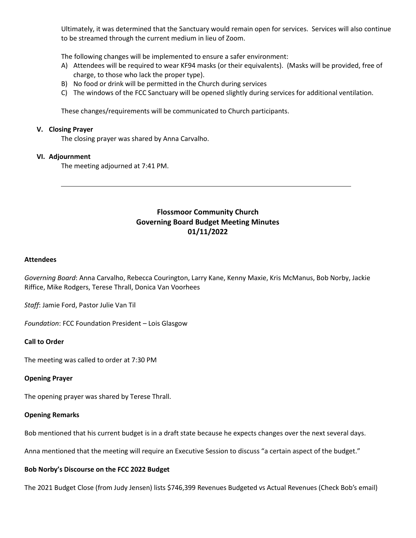Ultimately, it was determined that the Sanctuary would remain open for services. Services will also continue to be streamed through the current medium in lieu of Zoom.

The following changes will be implemented to ensure a safer environment:

- A) Attendees will be required to wear KF94 masks (or their equivalents). (Masks will be provided, free of charge, to those who lack the proper type).
- B) No food or drink will be permitted in the Church during services
- C) The windows of the FCC Sanctuary will be opened slightly during services for additional ventilation.

These changes/requirements will be communicated to Church participants.

#### **V. Closing Prayer**

The closing prayer was shared by Anna Carvalho.

#### **VI. Adjournment**

The meeting adjourned at 7:41 PM.

## **Flossmoor Community Church Governing Board Budget Meeting Minutes 01/11/2022**

#### **Attendees**

*Governing Board*: Anna Carvalho, Rebecca Courington, Larry Kane, Kenny Maxie, Kris McManus, Bob Norby, Jackie Riffice, Mike Rodgers, Terese Thrall, Donica Van Voorhees

*Staff*: Jamie Ford, Pastor Julie Van Til

*Foundation*: FCC Foundation President – Lois Glasgow

#### **Call to Order**

The meeting was called to order at 7:30 PM

#### **Opening Prayer**

The opening prayer was shared by Terese Thrall.

#### **Opening Remarks**

Bob mentioned that his current budget is in a draft state because he expects changes over the next several days.

Anna mentioned that the meeting will require an Executive Session to discuss "a certain aspect of the budget."

#### **Bob Norby's Discourse on the FCC 2022 Budget**

The 2021 Budget Close (from Judy Jensen) lists \$746,399 Revenues Budgeted vs Actual Revenues (Check Bob's email)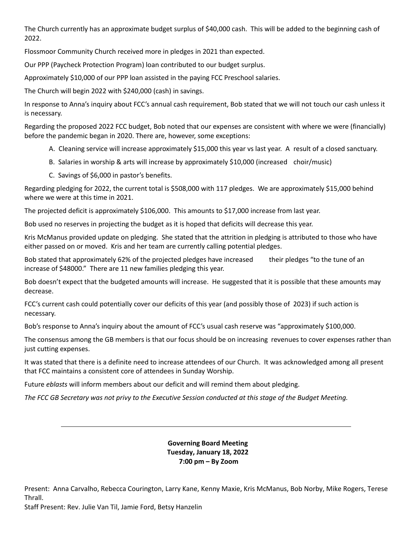The Church currently has an approximate budget surplus of \$40,000 cash. This will be added to the beginning cash of 2022.

Flossmoor Community Church received more in pledges in 2021 than expected.

Our PPP ([Paycheck Protection Program](https://www.sba.gov/funding-programs/loans/covid-19-relief-options/paycheck-protection-program)) loan contributed to our budget surplus.

Approximately \$10,000 of our PPP loan assisted in the paying FCC Preschool salaries.

The Church will begin 2022 with \$240,000 (cash) in savings.

In response to Anna's inquiry about FCC's annual cash requirement, Bob stated that we will not touch our cash unless it is necessary.

Regarding the proposed 2022 FCC budget, Bob noted that our expenses are consistent with where we were (financially) before the pandemic began in 2020. There are, however, some exceptions:

- A. Cleaning service will increase approximately \$15,000 this year vs last year. A result of a closed sanctuary.
- B. Salaries in worship & arts will increase by approximately \$10,000 (increased choir/music)
- C. Savings of \$6,000 in pastor's benefits.

Regarding pledging for 2022, the current total is \$508,000 with 117 pledges. We are approximately \$15,000 behind where we were at this time in 2021.

The projected deficit is approximately \$106,000. This amounts to \$17,000 increase from last year.

Bob used no reserves in projecting the budget as it is hoped that deficits will decrease this year.

Kris McManus provided update on pledging. She stated that the attrition in pledging is attributed to those who have either passed on or moved. Kris and her team are currently calling potential pledges.

Bob stated that approximately 62% of the projected pledges have increased their pledges "to the tune of an increase of \$48000." There are 11 new families pledging this year.

Bob doesn't expect that the budgeted amounts will increase. He suggested that it is possible that these amounts may decrease.

FCC's current cash could potentially cover our deficits of this year (and possibly those of 2023) if such action is necessary.

Bob's response to Anna's inquiry about the amount of FCC's usual cash reserve was "approximately \$100,000.

The consensus among the GB members is that our focus should be on increasing revenues to cover expenses rather than just cutting expenses.

It was stated that there is a definite need to increase attendees of our Church. It was acknowledged among all present that FCC maintains a consistent core of attendees in Sunday Worship.

Future *eblasts* will inform members about our deficit and will remind them about pledging.

*The FCC GB Secretary was not privy to the Executive Session conducted at this stage of the Budget Meeting.*

**Governing Board Meeting Tuesday, January 18, 2022 7:00 pm – By Zoom**

Present: Anna Carvalho, Rebecca Courington, Larry Kane, Kenny Maxie, Kris McManus, Bob Norby, Mike Rogers, Terese Thrall.

Staff Present: Rev. Julie Van Til, Jamie Ford, Betsy Hanzelin